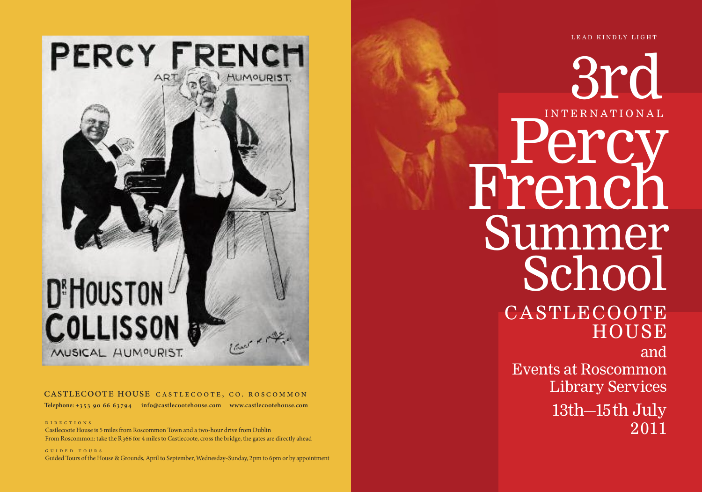LEAD KINDLY LIGHT

# PERCY FRENCH **UMOURIST D'HOUSTON COLLISSON** MUSICAL HUMOURIST.

#### CASTLECOOTE HOUSE CASTLECOOTE, CO. ROSCOMMON

Telephone: +353 90 66 63794 info@castlecootehouse.com www.castlecootehouse.com

D I R E C T I O N S

Castlecoote House is 5 miles from Roscommon Town and a two-hour drive from Dublin From Roscommon: take the R366 for 4 miles to Castlecoote, cross the bridge, the gates are directly ahead

G U I D E D T O U R S Guided Tours of the House & Grounds, April to September, Wednesday-Sunday, 2pm to 6pm or by appointment

3 r d I N T E R N A T I O N A L Percy French Summer School

# CASTLECOOTE **HOUSE**

a n d Events at Roscommon Library Services

> 13th-15th July 2 0 1 1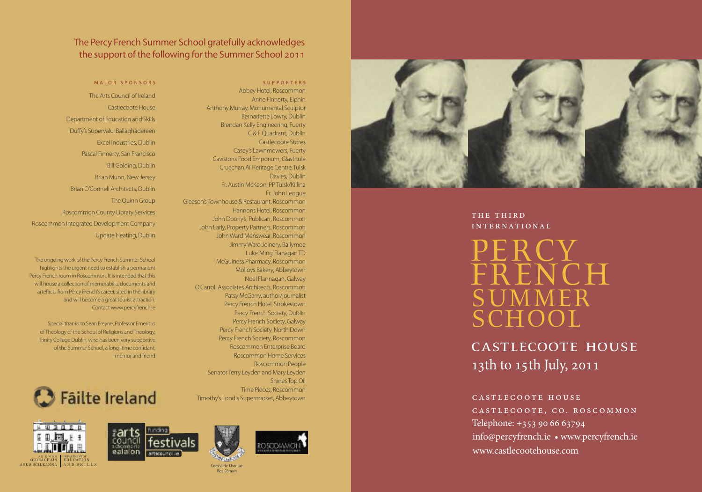#### The Percy French Summer School gratefully acknowledges the support of the following for the Summer School 2011

.

Gleeson's Townhouse & Restaurant, Roscommon

John Early, Property Partners, Roscommon

O'Carroll Associates Architects, Roscommon

McGuiness Pharmacy, Roscommon Molloys Bakery, Abbeytown Noel Flannagan, Galway ,

S U P P O R T E R S Abbey Hotel, Roscommon , Anne Finnerty, Elphin

, C & F Quadrant, Dublin , Castlecoote Stores Casey's Lawnmowers, Fuerty

,

Fr. John Leogue

, Davies, Dublin ,

,

Bernadette Lowry, Dublin Brendan Kelly Engineering, Fuerty

Anthony Murray, Monumental Sculptor

Cavistons Food Emporium, Glasthule

Cruachan Aí Heritage Centre, Tulsk

Fr. Austin McKeon, PP Tulsk/Killina

,

, Hannons Hotel, Roscommon , John Doorly's, Publican, Roscommon ,

,

, John Ward Menswear, Roscommon Jimmy Ward Joinery, Ballymoe Luke 'Ming' Flanagan TD

, Patsy McGarry, author/journalist Percy French Hotel, Strokestown , Percy French Society, Dublin Percy French Society, Galway Percy French Society, North Down Percy French Society, Roscommon Roscommon Enterprise Board Roscommon Home Services Roscommon People

The Arts Council of Ireland Castlecoote House Department of Education and Skills Duffy's Supervalu, Ballaghadereen , Excel Industries, Dublin , Pascal Finnerty, San Francisco **Bill Golding, Dublin** , Brian Munn, New Jersey , Brian O'Connell Architects, Dublin , The Quinn Group Roscommon County Library Services Roscommon Integrated Development Company Update Heating, Dublin ,

MAJOR SPONSORS

The ongoing work of the Percy French Summer School highlights the urgent need to establish a permanent Percy French room in Roscommon. It is intended that this . will house a collection of memorabilia, documents and , artefacts from Percy French's career, sited in the library and will become a great tourist attraction Contact www.percyfrench.ie . .

Special thanks to Sean Freyne, Professor Emeritus , of Theology of the School of Religions and Theology, Trinity College Dublin, who has been very supportive of the Summer School, a long-time confidant , , mentor and friend



DEPARTMENT OF<br>EDUCATION<br>A N D S K I L L S

AN ROINN<br>OIDEACHAIS AGUS SCILEANNA



Senator Terry Leyden and Mary Leyden

Timothy's Londis Supermarket, Abbeytown

Shines Top Oil

Time Pieces, Roscommon ,

,









.



Comhairle Chontae i l Ros Cómain i



THE THIRD INTERNATIONAL

PERCY<br>TRICY FRENCH SUMMER SCHOOL

CASTLECOOTE HOUSE 13th to 15th July, 2011

#### CASTLECOOTE HOUSE

CASTLECOOTE, CO. ROSCOMMON Telephone: +353 90 66 63794 info@percyfrench.ie • www.percyfrench.ie www.castlecootehouse.com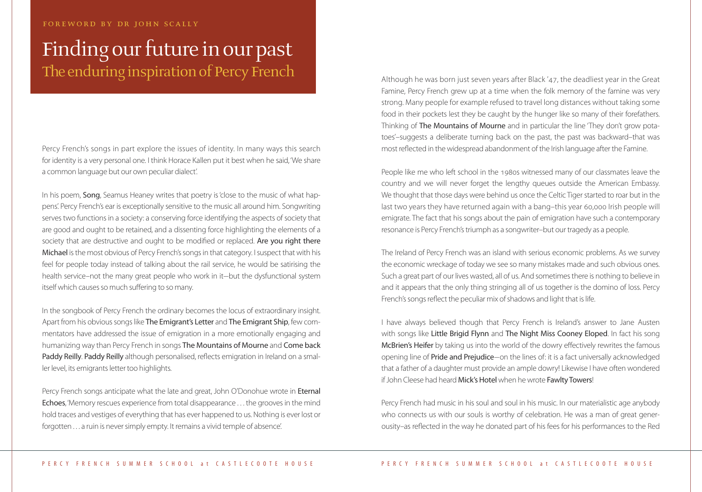#### foreword by dr john scally

# Finding our future in our past The enduring inspiration of Percy French

Percy French's songs in part explore the issues of identity. In many ways this search for identity is a very personal one. I think Horace Kallen put it best when he said, 'We share a common language but our own peculiar dialect'.

In his poem, **Song**, Seamus Heaney writes that poetry is 'close to the music of what happens'. Percy French's ear is exceptionally sensitive to the music all around him. Songwriting serves two functions in a society: a conserving force identifying the aspects of society that are good and ought to be retained, and a dissenting force highlighting the elements of a society that are destructive and ought to be modified or replaced. Are you right there Michael is the most obvious of Percy French's songs in that category. I suspect that with his feel for people today instead of talking about the rail service, he would be satirising the health service–not the many great people who work in it–but the dysfunctional system itself which causes so much suffering to so many.

In the songbook of Percy French the ordinary becomes the locus of extraordinary insight. Apart from his obvious songs like The Emigrant's Letter and The Emigrant Ship, few commentators have addressed the issue of emigration in a more emotionally engaging and humanizing way than Percy French in songs The Mountains of Mourne and Come back Paddy Reilly. Paddy Reilly although personalised, reflects emigration in Ireland on a smaller level, its emigrants letter too highlights.

Percy French songs anticipate what the late and great, John O'Donohue wrote in Eternal Echoes, 'Memory rescues experience from total disappearance ... the grooves in the mind hold traces and vestiges of everything that has ever happened to us. Nothing is ever lost or forgotten . . . a ruin is never simply empty. It remains a vivid temple of absence'.

Although he was born just seven years after Black '47, the deadliest year in the Great Famine, Percy French grew up at a time when the folk memory of the famine was very strong. Many people for example refused to travel long distances without taking some food in their pockets lest they be caught by the hunger like so many of their forefathers. Thinking of The Mountains of Mourne and in particular the line 'They don't grow potatoes'–suggests a deliberate turning back on the past, the past was backward–that was most reflected in the widespread abandonment of the Irish language after the Famine.

People like me who left school in the 1980s witnessed many of our classmates leave the country and we will never forget the lengthy queues outside the American Embassy. We thought that those days were behind us once the Celtic Tiger started to roar but in the last two years they have returned again with a bang–this year 60,000 Irish people will emigrate. The fact that his songs about the pain of emigration have such a contemporary resonance is Percy French's triumph as a songwriter-but our tragedy as a people.

The Ireland of Percy French was an island with serious economic problems. As we survey the economic wreckage of today we see so many mistakes made and such obvious ones. Such a great part of our lives wasted, all of us. And sometimes there is nothing to believe in and it appears that the only thing stringing all of us together is the domino of loss. Percy French's songs reflect the peculiar mix of shadows and light that is life.

I have always believed though that Percy French is Ireland's answer to Jane Austen with songs like Little Brigid Flynn and The Night Miss Cooney Eloped. In fact his song McBrien's Heifer by taking us into the world of the dowry effectively rewrites the famous opening line of Pride and Prejudice–on the lines of: it is a fact universally acknowledged that a father of a daughter must provide an ample dowry! Likewise I have often wondered if John Cleese had heard Mick's Hotel when he wrote Fawlty Towers!

Percy French had music in his soul and soul in his music. In our materialistic age anybody who connects us with our souls is worthy of celebration. He was a man of great generousity–as reflected in the way he donated part of his fees for his performances to the Red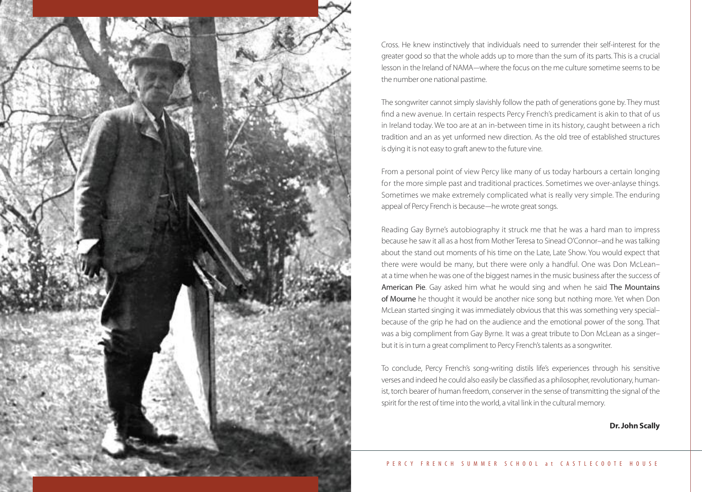

Cross. He knew instinctively that individuals need to surrender their self-interest for the greater good so that the whole adds up to more than the sum of its parts. This is a crucial lesson in the Ireland of NAMA–where the focus on the me culture sometime seems to be the number one national pastime.

The songwriter cannot simply slavishly follow the path of generations gone by. They must find a new avenue. In certain respects Percy French's predicament is akin to that of us in Ireland today. We too are at an in-between time in its history, caught between a rich tradition and an as yet unformed new direction. As the old tree of established structures is dying it is not easy to graft anew to the future vine.

From a personal point of view Percy like many of us today harbours a certain longing for the more simple past and traditional practices. Sometimes we over-anlayse things. Sometimes we make extremely complicated what is really very simple. The enduring appeal of Percy French is because—he wrote great songs.

Reading Gay Byrne's autobiography it struck me that he was a hard man to impress because he saw it all as a host from Mother Teresa to Sinead O'Connor–and he was talking about the stand out moments of his time on the Late, Late Show. You would expect that there were would be many, but there were only a handful. One was Don McLean– at a time when he was one of the biggest names in the music business after the success of American Pie. Gay asked him what he would sing and when he said The Mountains of Mourne he thought it would be another nice song but nothing more. Yet when Don McLean started singing it was immediately obvious that this was something very special– because of the grip he had on the audience and the emotional power of the song. That was a big compliment from Gay Byrne. It was a great tribute to Don McLean as a singer– but it is in turn a great compliment to Percy French's talents as a songwriter.

To conclude, Percy French's song-writing distils life's experiences through his sensitive verses and indeed he could also easily be classified as a philosopher, revolutionary, humanist, torch bearer of human freedom, conserver in the sense of transmitting the signal of the spirit for the rest of time into the world, a vital link in the cultural memory.

**Dr. John Scally**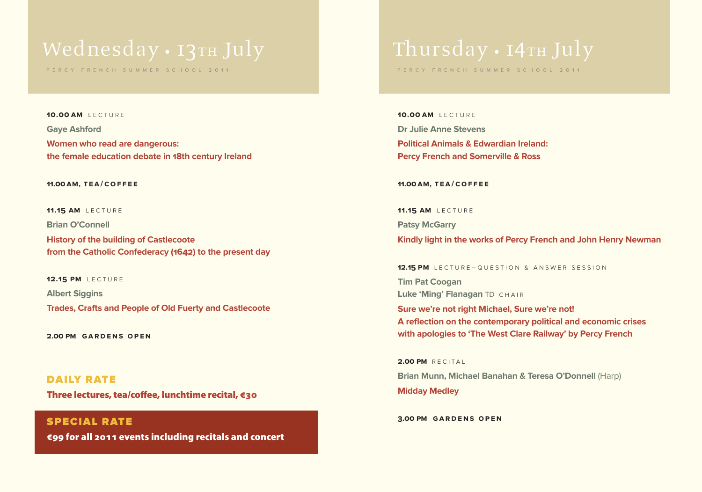# Wednesday · 13TH July

P E R C Y F R E N C H S U M M E R S C H O O L 2 0 1 1

**10.00 am** L E C T U R E **Gaye Ashford Women who read are dangerous: the female education debate in 18th century Ireland**

#### **11.00am, t ea/cof f e e**

**11.15 AM** LECTURE

**Brian O'Connell**

**History of the building of Castlecoote from the Catholic Confederacy (1642) to the present day**

**12.15 PM** LECTURE **Albert Siggins Trades, Crafts and People of Old Fuerty and Castlecoote**

**2.00 pm gardens op en**

**DAILY RATE Three lectures,tea/coffee, lunchtime recital, €30**

**SPECIAL RATE €99 for all 2011 events including recitals and concert**

# Thursday • 14TH July

P E R C Y F R E N C H S U M M E R S C H O O L 2 0 1 1

**10.00 am** L E C T U R E **Dr Julie Anne Stevens Political Animals & Edwardian Ireland: Percy French and Somerville & Ross**

**11.00am, t ea/cof f e e**

**11.15 AM** LECTURE **Patsy McGarry Kindly light in the works of Percy French and John Henry Newman**

**12.15 PM** LECTURE-QUESTION & ANSWER SESSION

**Tim Pat Coogan Luke 'Ming' Flanagan TD CHAIR** 

**Sure we're not right Michael, Sure we're not! A reflection on the contemporary political and economic crises with apologies to 'The West Clare Railway' by Percy French**

**2.00 PM** RECITAL **Brian Munn, Michael Banahan & Teresa O'Donnell** (Harp) **Midday Medley**

**3.00 pm gardens op en**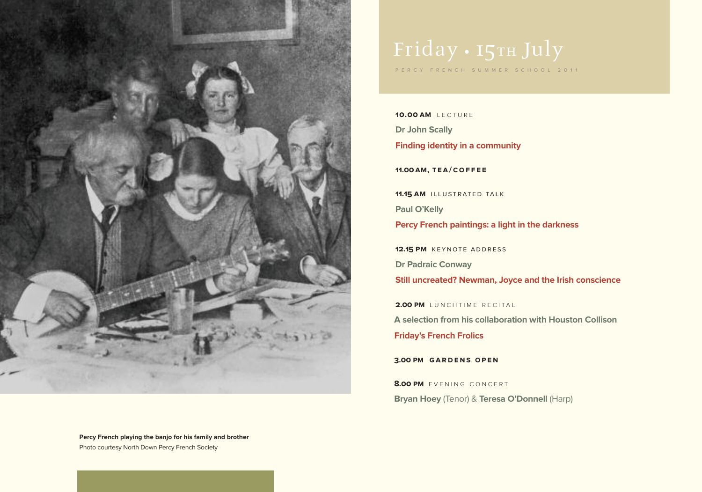

**Percy French playing the banjo for his family and brother** Photo courtesy North Down Percy French Society

# Friday • 15TH July

P E R C Y F R E N C H S U M M E R S C H O O L 2 0 1 1

**10.00 am** L E C T U R E **Dr John Scally Finding identity in a community**

**11.00am, t ea/cof f e e**

**11.15 AM** ILLUSTRATED TALK **Paul O'Kelly Percy French paintings: a light in the darkness**

**12.15 PM** KEYNOTE ADDRESS **Dr Padraic Conway**

**Still uncreated? Newman, Joyce and the Irish conscience**

**2.00 PM** LUNCHTIME RECITAL **A selection from his collaboration with Houston Collison Friday's French Frolics**

**3.00 pm gardens op en**

**8.00 PM** EVENING CONCERT **Bryan Hoey** (Tenor) & **Teresa O'Donnell** (Harp)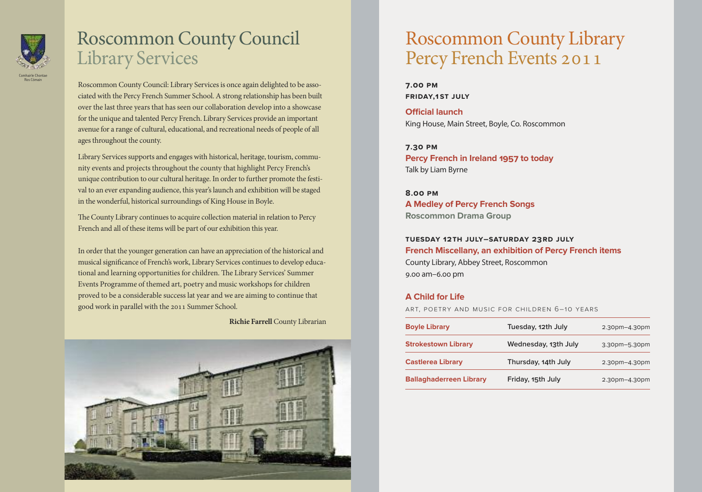

## Roscommon County Council Library Services

Roscommon County Council: Library Servicesis once again delighted to be associated with the Percy French Summer School. A strong relationship has been built over the last three years that has seen our collaboration develop into a showcase for the unique and talented Percy French. Library Services provide an important avenue for a range of cultural, educational, and recreational needs of people of all ages throughout the county.

Library Services supports and engages with historical, heritage, tourism, community events and projects throughout the county that highlight Percy French's unique contribution to our cultural heritage. In order to further promote the festival to an ever expanding audience, this year'slaunch and exhibition will be staged in the wonderful, historical surroundings of King House in Boyle.

The County Library continues to acquire collection material in relation to Percy French and all of these items will be part of our exhibition this year.

In order that the younger generation can have an appreciation of the historical and musical significance of French's work, Library Services continues to develop educational and learning opportunities for children. The Library Services' Summer Events Programme of themed art, poetry and music workshops for children proved to be a considerable success lat year and we are aiming to continue that good work in parallel with the 2011 Summer School.

**Richie Farrell** County Librarian



# Roscommon County Library Percy French Events 2011

**7.00 pm friday,1 st July**

**Official launch** King House, Main Street, Boyle, Co. Roscommon

**7.30 pm Percy French in Ireland 1957 to today** Talk by Liam Byrne

**8.00 pm A Medley of Percy French Songs Roscommon Drama Group**

#### **tuesday 12th July–saturday 23rd July French Miscellany, an exhibition of Percy French items** County Library, Abbey Street, Roscommon 9.00 am–6.00 pm

#### **A Child for Life**

ART, POETRY AND MUSIC FOR CHILDREN 6–10 YEARS

| <b>Boyle Library</b>           | Tuesday, 12th July   | 2.30pm-4.30pm |
|--------------------------------|----------------------|---------------|
| <b>Strokestown Library</b>     | Wednesday, 13th July | 3.30pm-5.30pm |
| <b>Castlerea Library</b>       | Thursday, 14th July  | 2.30pm-4.30pm |
| <b>Ballaghaderreen Library</b> | Friday, 15th July    | 2.30pm-4.30pm |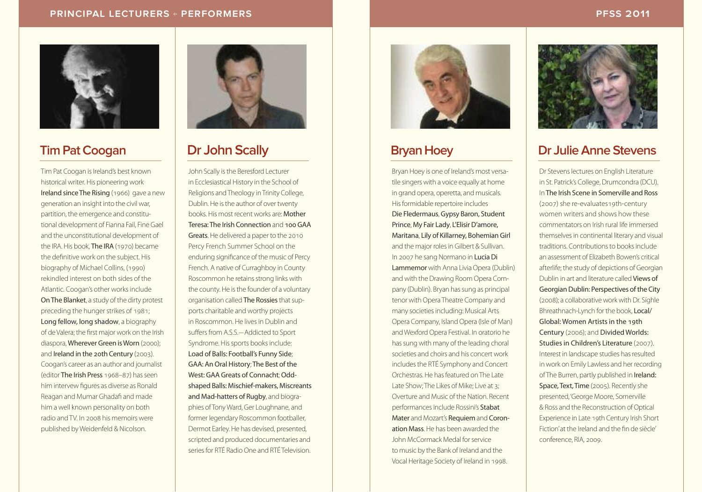#### **PRINCIPAL LECTURERS + PERFORMERS PFSS 2011**



## **Tim PatCoogan**

Tim Pat Coogan is Ireland's best known historical writer. His pioneering work Ireland sinceThe Rising (1966) gave a new generation an insight into the civil war, partition, the emergence and constitutional development of Fianna Fail, Fine Gael and the unconstitutional development of the IRA. His book, The IRA (1970) became the definitive work on the subject. His biography of Michael Collins, (1990) rekindled interest on both sides of the Atlantic. Coogan's other works include OnThe Blanket, a study of the dirty protest preceding the hunger strikes of 1981; Long fellow, long shadow, a biography of de Valera; the first major work on the Irish diaspora, Wherever Green is Worn (2000); and Ireland in the 20th Century (2003). Coogan's career as an author and journalist (editor The Irish Press 1968–87) has seen him intervew figures as diverse as Ronald Reagan and Mumar Ghadafi and made him a well known personality on both radio andTV. In 2008 his memoirs were published by Weidenfeld & Nicolson.



## **Dr John Scally**

John Scally is the Beresford Lecturer in Ecclesiastical History in the School of Religions and Theology in Trinity College, Dublin. He is the author of over twenty books. His most recent works are: Mother Teresa:The Irish Connection and 100GAA Greats. He delivered a paper to the 2010 Percy French Summer School on the enduring significance of the music of Percy French. A native of Curraghboy in County Roscommon he retains strong links with the county. He is the founder of a voluntary organisation called The Rossies that supports charitable and worthy projects in Roscommon. He livesin Dublin and suffers from A.S.S.–Addicted to Sport Syndrome. His sports books include: Load of Balls: Football's Funny Side; GAA: An Oral History; The Best of the West: GAA Greats of Connacht: Oddshaped Balls: Mischief-makers, Miscreants and Mad-hatters of Rugby, and biographies of TonyWard, Ger Loughnane, and former legendary Roscommon footballer, Dermot Earley. He has devised, presented, scripted and produced documentaries and series for RTÉ Radio One and RTÉ Television



## **BryanHoey**

Bryan Hoey is one of Ireland's most versatile singers with a voice equally at home in grand opera, operetta, and musicals. Hisformidable repertoire includes Die Fledermaus,Gypsy Baron, Student Prince, My Fair Lady, L'Elisir D'amore, Maritana, Lily of Killarney, Bohemian Girl and the major roles in Gilbert & Sullivan. In 2007 he sang Normano in LuciaDi Lammemor with Anna Livia Opera (Dublin) and with the Drawing Room Opera Company (Dublin). Bryan has sung as principal tenor with Opera Theatre Company and many societies including: Musical Arts Opera Company, IslandOpera (Isle of Man) and Wexford Opera Festival. In oratorio he hassung with many of the leading choral societies and choirs and his concert work includes the RTÉ Symphony and Concert Orchestras. He has featured on The Late Late Show; The Likes of Mike; Live at 3; Overture and Music of the Nation. Recent performancesinclude Rossini's Stabat Mater and Mozart's Requiem and Coronation Mass. He has been awarded the John McCormack Medal forservice to music by the Bank of Ireland and the Vocal Heritage Society of Ireland in 1998.



## **Dr JulieAnne Stevens**

Dr Stevens lectures on English Literature in St. Patrick's College, Drumcondra (DCU). InThe Irish Scene in Somerville and Ross (2007) she re-evaluates19th-century women writers and shows how these commentators on Irish rural life immersed themselves in continental literary and visual traditions. Contributions to books include an assessment of Elizabeth Bowen's critical afterlife; the study of depictions of Georgian Dublin in art and literature called Views of Georgian Dublin: Perspectives of the City (2008); a collaborative work with Dr. Síghle Bhreathnach-Lynch for the book, Local/ Global: Women Artistsin the 19th Century (2006); and Divided Worlds: Studies in Children's Literature (2007). Interest in landscape studies has resulted in work on Emily Lawless and her recording of The Burren, partly published in Ireland: Space, Text, Time (2005). Recently she presented,'George Moore, Somerville & Ross and the Reconstruction of Optical Experience in Late 19th Century Irish Short Fiction'at the Ireland and the fin de siècle' conference, RIA, 2009.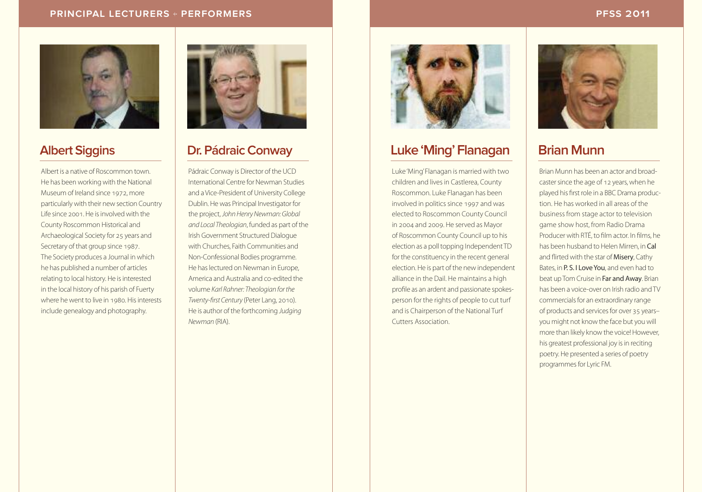#### **PRINCIPAL LECTURERS + PERFORMERS PFSS 2011**



## **Albert Siggins**

Albert is a native of Roscommon town. He has been working with the National Museum of Ireland since 1972, more particularly with their new section Country Life since 2001. He isinvolved with the County Roscommon Historical and Archaeological Society for 25 years and Secretary of that group since 1987. The Society produces a Journal in which he has published a number of articles relating to local history. He is interested in the local history of his parish of Fuerty where he went to live in 1980. Hisinterests include genealogy and photography.



## **Dr. Pádraic Conway**

Pádraic Conway is Director of the UCD International Centre for Newman Studies and a Vice-President of University College Dublin. He was Principal Investigator for the project, John Henry Newman: Global and Local Theologian, funded as part of the Irish Government Structured Dialogue with Churches, Faith Communities and Non-Confessional Bodies programme. He has lectured on Newman in Europe, America and Australia and co-edited the volume Karl Rahner: Theologian forthe Twenty-first Century (Peter Lang, 2010). He is author of the forthcoming Judging Newman (RIA).



### **Luke'Ming'Flanagan**

Luke'Ming'Flanagan is married with two children and lives in Castlerea, County Roscommon. Luke Flanagan has been involved in politics since 1997 and was elected to Roscommon County Council in 2004 and 2009. He served as Mayor of Roscommon County Council up to his election as a poll topping Independent TD for the constituency in the recent general election. He is part of the new independent alliance in the Dail. He maintains a high profile as an ardent and passionate spokesperson for the rights of people to cut turf and is Chairperson of the National Turf Cutters Association.



## **Brian Munn**

Brian Munn has been an actor and broadcaster since the age of 12 years, when he played his first role in a BBC Drama production. He has worked in all areas of the business from stage actor to television game show host, from Radio Drama Producer with RTÉ, to film actor. In films, he has been husband to Helen Mirren, in Cal and flirted with the star of Misery, Cathy Bates, in **P. S. I Love You**, and even had to beat up Tom Cruise in Far and Away. Brian has been a voice-over on Irish radio andTV commercials for an extraordinary range of products and services for over 35 yearsyou might not know the face but you will more than likely know the voice! However, his greatest professional joy is in reciting poetry. He presented a series of poetry programmes for Lyric FM.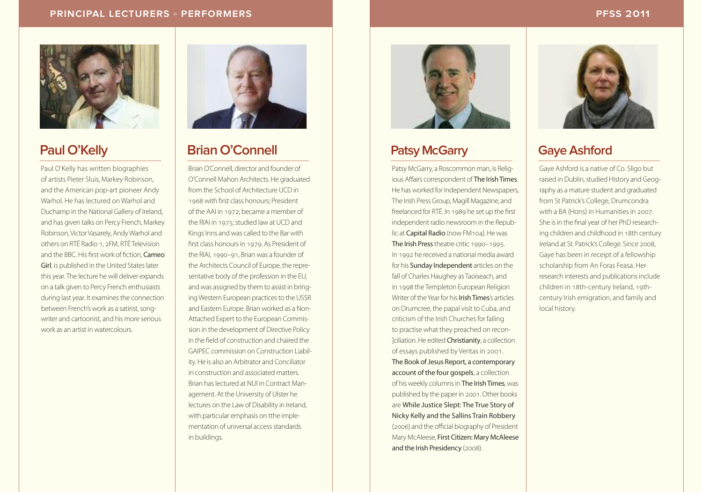#### **PRINCIPAL LECTURERS + PERFORMERS PFSS 2011**



## **Paul O'Kelly**

Paul O'Kelly has written biographies of artists Pieter Sluis, Markey Robinson, and the American pop-art pioneer Andy Warhol. He has lectured on Warhol and Duchamp in the National Gallery of Ireland, and has given talks on Percy French, Markey Robinson, Victor Vasarely, AndyWarhol and others on RTÉ Radio 1, 2FM, RTÉ Television and the BBC. His first work of fiction, Cameo Girl, is published in the United States later this year. The lecture he will deliver expands on a talk given to Percy French enthusiasts during last year. It examines the connection between French's work as a satirist, songwriter and cartoonist, and his more serious work as an artist in watercolours.



## **BrianO'Connell**

BrianO'Connell, director and founder of O'Connell Mahon Architects. He graduated from the School of Architecture UCD in 1968 with first class honours; President of the AAI in 1972; became a member of the RIAI in 1975; studied law at UCD and Kings Inns and was called to the Bar with first class honoursin 1979. As President of the RIAI, 1990–91, Brian was a founder of the Architects Council of Europe, the representative body of the profession in the EU, and was assigned by them to assist in bringing Western European practices to the USSR and Eastern Europe. Brian worked as a Non-Attached Expert to the European Commission in the development of Directive Policy in the field of construction and chaired the GAIPEC commission on Construction Liability. He is also an Arbitrator and Conciliator in construction and associated matters. Brian haslectured at NUI in Contract Management. At the University of Ulster he lectures on the Law of Disability in Ireland, with particular emphasis on tthe implementation of universal access standards in buildings.



## **Patsy McGarry**

Patsy McGarry, a Roscommon man, is Religious Affairs correspondent of The Irish Times. He has worked for Independent Newspapers, The Irish Press Group, Magill Magazine, and freelanced for RTÉ. In 1989 he set up the first independent radio newsroom in the Republic at Capital Radio (now FM104). He was The Irish Press theatre critic 1990–1995. In 1992 he received a national media award for his Sunday Independent articles on the fall of Charles Haughey as Taoiseach, and in 1998 the Templeton European Religion Writer of the Year for his **Irish Times's** articles on Drumcree, the papal visit to Cuba, and criticism of the Irish Churches for failing to practise what they preached on recon- ]ciliation.He edited Christianity, a collection of essays published by Veritas in 2001. The Book of Jesus Report, a contemporary account of the four gospels, a collection of his weekly columns in The Irish Times, was published by the paper in 2001.Other books are While Justice Slept: The True Story of Nicky Kelly and the Sallins Train Robbery (2006) and the official biography of President Mary McAleese, First Citizen: Mary McAleese and the Irish Presidency (2008).



## **Gave Ashford**

Gaye Ashford is a native of Co. Sligo but raised in Dublin, studied History and Geography as a mature student and graduated from St Patrick's College, Drumcondra with a BA (Hons) in Humanities in 2007. She is in the final year of her PhD researching children and childhood in 18th century Ireland at St. Patrick's College. Since 2008, Gaye has been in receipt of a fellowship scholarship from An Foras Feasa. Her research interests and publications include children in 18th-century Ireland, 19thcentury Irish emigration, and family and local history.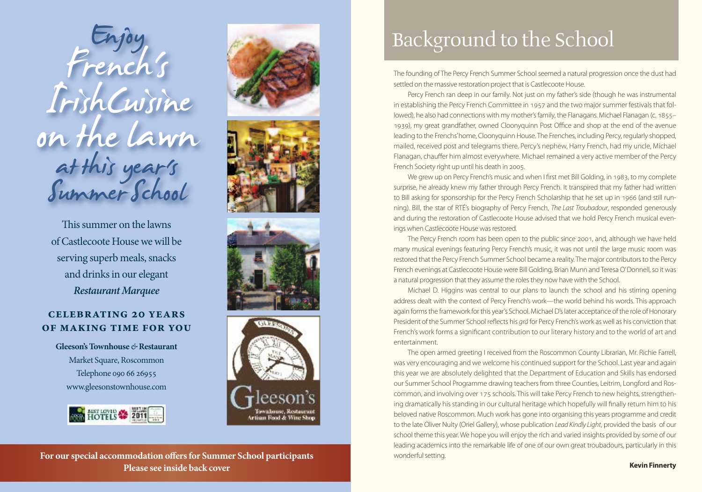Enjoy French's IrishCuisine IrishCuisine<br>on the lawn at this year's s at mis years

This summer on the lawns ofCastlecoote Housewewill be serving superb meals, snacks and drinks in our elegant *Restaurant Marquee*

#### **Celebrating 20 years of making time for you**

**Gleeson'sTownhouse***&***Restaurant** Market Square, Roscommon Telephone 090 66 26955 www.gleesonstownhouse.com











#### **For our special accommodation offersfor Summer School participants Please see inside back cover**

# Background to the School

The founding of The Percy French Summer School seemed a natural progression once the dust had settled on the massive restoration project that is Castlecoote House.

Percy French ran deep in our family. Not just on my father's side (though he was instrumental in establishing the Percy French Committee in 1957 and the two major summer festivals that followed), he also had connections with my mother's family, the Flanagans. Michael Flanagan (c. 1855– 1939), my great grandfather, owned Cloonyquinn Post Office and shop at the end of the avenue leading to the Frenchs'home, Cloonyquinn House. The Frenches, including Percy, regularly shopped, mailed, received post and telegrams there. Percy's nephew, Harry French, had my uncle, Michael Flanagan, chauffer him almost everywhere. Michael remained a very active member of the Percy French Society right up until his death in 2005.

We grew up on Percy French's music and when I first met Bill Golding, in 1983, to my complete surprise, he already knew my father through Percy French. It transpired that my father had written to Bill asking for sponsorship for the Percy French Scholarship that he set up in 1966 (and still running). Bill, the star of RTÉ's biography of Percy French, The Last Troubadour, responded generously and during the restoration of Castlecoote House advised that we hold Percy French musical evenings when Castlecoote House was restored.

The Percy French room has been open to the public since 2001, and, although we have held many musical evenings featuring Percy French's music, it was not until the large music room was restored that the Percy French Summer School became a reality. The major contributors to the Percy French evenings at Castlecoote House were Bill Golding, Brian Munn and Teresa O'Donnell, so it was a natural progression that they assume the roles they now have with the School.

Michael D. Higgins was central to our plans to launch the school and his stirring opening address dealt with the context of Percy French's work—the world behind his words. This approach again forms the framework for this year's School. Michael D's later acceptance of the role of Honorary President of the Summer School reflects his grá for Percy French's work as well as his conviction that French's work forms a significant contribution to our literary history and to the world of art and entertainment.

The open armed greeting I received from the Roscommon County Librarian, Mr. Richie Farrell, was very encouraging and we welcome his continued support for the School. Last year and again this year we are absolutely delighted that the Department of Education and Skills has endorsed our Summer School Programme drawing teachers from three Counties, Leitrim, Longford and Roscommon, and involving over 175 schools. This will take Percy French to new heights, strengthening dramatically his standing in our cultural heritage which hopefully will finally return him to his beloved native Roscommon. Much work has gone into organising this years programme and credit to the late Oliver Nulty (Oriel Gallery), whose publication Lead Kindly Light, provided the basis of our school theme this year. We hope you will enjoy the rich and varied insights provided by some of our leading academics into the remarkable life of one of our own great troubadours, particularly in this wonderful setting.